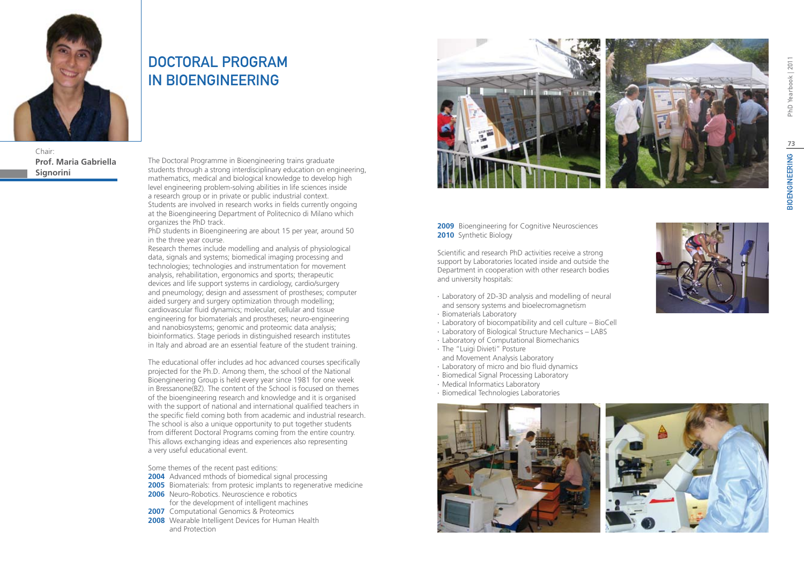

Chair: **Prof. Maria Gabriella Signorini**

# DOCTORAL PROGRAM IN BIOENGINEERING

The Doctoral Programme in Bioengineering trains graduate students through a strong interdisciplinary education on engineering. mathematics, medical and biological knowledge to develop high level engineering problem-solving abilities in life sciences inside a research group or in private or public industrial context. Students are involved in research works in fields currently ongoing at the Bioengineering Department of Politecnico di Milano which organizes the PhD track.

PhD students in Bioengineering are about 15 per year, around 50 in the three year course.

Research themes include modelling and analysis of physiological data, signals and systems; biomedical imaging processing and technologies; technologies and instrumentation for movement analysis, rehabilitation, ergonomics and sports; therapeutic devices and life support systems in cardiology, cardio/surgery and pneumology; design and assessment of prostheses; computer aided surgery and surgery optimization through modelling; cardiovascular fluid dynamics; molecular, cellular and tissue engineering for biomaterials and prostheses; neuro-engineering and nanobiosystems; genomic and proteomic data analysis; bioinformatics. Stage periods in distinguished research institutes in Italy and abroad are an essential feature of the student training.

The educational offer includes ad hoc advanced courses specifically projected for the Ph.D. Among them, the school of the National Bioengineering Group is held every year since 1981 for one week in Bressanone(BZ). The content of the School is focused on themes of the bioengineering research and knowledge and it is organised with the support of national and international qualified teachers in the specific field coming both from academic and industrial research. The school is also a unique opportunity to put together students from different Doctoral Programs coming from the entire country. This allows exchanging ideas and experiences also representing a very useful educational event.

Some themes of the recent past editions:

- **2004** Advanced mthods of biomedical signal processing
- **2005** Biomaterials: from protesic implants to regenerative medicine
- **2006** Neuro-Robotics. Neuroscience e robotics for the development of intelligent machines
- **2007** Computational Genomics & Proteomics
- **2008** Wearable Intelligent Devices for Human Health and Protection



### **2009** Bioengineering for Cognitive Neurosciences **2010** Synthetic Biology

Scientific and research PhD activities receive a strong support by Laboratories located inside and outside the Department in cooperation with other research bodies and university hospitals:

- ∙ Laboratory of 2D-3D analysis and modelling of neural and sensory systems and bioelecromagnetism
- ∙ Biomaterials Laboratory
- ∙ Laboratory of biocompatibility and cell culture BioCell
- ∙ Laboratory of Biological Structure Mechanics LABS
- ∙ Laboratory of Computational Biomechanics
- ∙ The "Luigi Divieti" Posture and Movement Analysis Laboratory
- ∙ Laboratory of micro and bio fluid dynamics
- ∙ Biomedical Signal Processing Laboratory
- ∙ Medical Informatics Laboratory
- ∙ Biomedical Technologies Laboratories



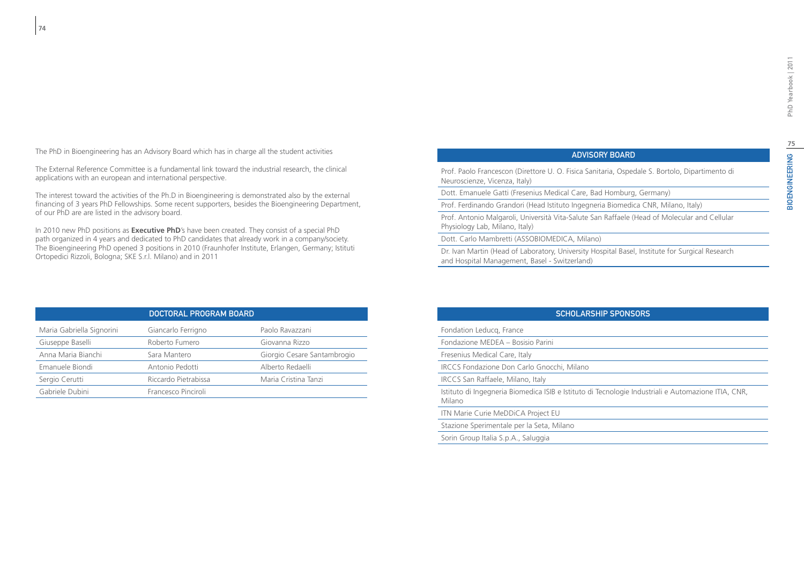The PhD in Bioengineering has an Advisory Board which has in charge all the student activities

The External Reference Committee is a fundamental link toward the industrial research, the clinical applications with an european and international perspective.

The interest toward the activities of the Ph.D in Bioengineering is demonstrated also by the external financing of 3 years PhD Fellowships. Some recent supporters, besides the Bioengineering Department, of our PhD are are listed in the advisory board.

In 2010 new PhD positions as **Executive PhD**'s have been created. They consist of a special PhD path organized in 4 years and dedicated to PhD candidates that already work in a company/society. The Bioengineering PhD opened 3 positions in 2010 (Fraunhofer Institute, Erlangen, Germany; Istituti Ortopedici Rizzoli, Bologna; SKE S.r.l. Milano) and in 2011

| <b>ADVISORY BOARD</b> |  |
|-----------------------|--|
|                       |  |

Prof. Paolo Francescon (Direttore U. O. Fisica Sanitaria, Ospedale S. Bortolo, Dipartimento di Neuroscienze, Vicenza, Italy)

Dott. Emanuele Gatti (Fresenius Medical Care, Bad Homburg, Germany)

Prof. Ferdinando Grandori (Head Istituto Ingegneria Biomedica CNR, Milano, Italy)

Prof. Antonio Malgaroli, Università Vita-Salute San Raffaele (Head of Molecular and Cellular Physiology Lab, Milano, Italy)

Dott. Carlo Mambretti (ASSOBIOMEDICA, Milano)

Dr. Ivan Martin (Head of Laboratory, University Hospital Basel, Institute for Surgical Research and Hospital Management, Basel - Switzerland)

|                           | DOCTORAL PROGRAM BOARD |                             |
|---------------------------|------------------------|-----------------------------|
| Maria Gabriella Signorini | Giancarlo Ferrigno     | Paolo Ravazzani             |
| Giuseppe Baselli          | Roberto Fumero         | Giovanna Rizzo              |
| Anna Maria Bianchi        | Sara Mantero           | Giorgio Cesare Santambrogio |
| Emanuele Biondi           | Antonio Pedotti        | Alberto Redaelli            |
| Sergio Cerutti            | Riccardo Pietrabissa   | Maria Cristina Tanzi        |
| Gabriele Dubini           | Francesco Pinciroli    |                             |

### Scholarship Sponsors

Fondation Leducq, France

Fondazione MEDEA – Bosisio Parini

Fresenius Medical Care, Italy

IRCCS Fondazione Don Carlo Gnocchi, Milano

IRCCS San Raffaele, Milano, Italy

Istituto di Ingegneria Biomedica ISIB e Istituto di Tecnologie Industriali e Automazione ITIA, CNR, Milano

ITN Marie Curie MeDDiCA Project EU

Stazione Sperimentale per la Seta, Milano

Sorin Group Italia S.p.A., Saluggia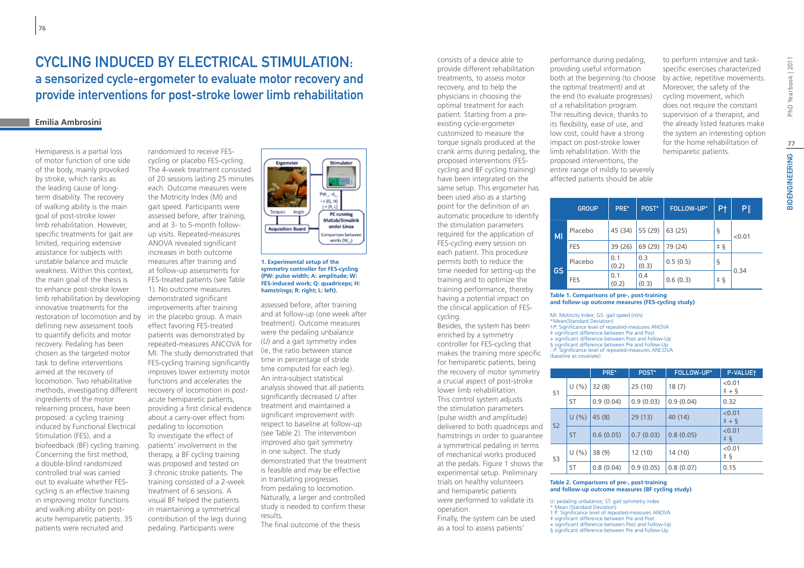# CYCLING INDUCED BY ELECTRICAL STIMULATION. a sensorized cycle-ergometer to evaluate motor recovery and provide interventions for post-stroke lower limb rehabilitation

# **Emilia Ambrosini**

Hemiparesis is a partial loss of motor function of one side of the body, mainly provoked by stroke, which ranks as the leading cause of longterm disability. The recovery of walking ability is the main goal of post-stroke lower limb rehabilitation. However, specific treatments for gait are limited, requiring extensive assistance for subjects with unstable balance and muscle weakness. Within this context, the main goal of the thesis is to enhance post-stroke lower limb rehabilitation by developing innovative treatments for the restoration of locomotion and by defining new assessment tools to quantify deficits and motor recovery. Pedaling has been chosen as the targeted motor task to define interventions aimed at the recovery of locomotion. Two rehabilitative methods, investigating different ingredients of the motor relearning process, have been proposed: a cycling training induced by Functional Electrical Stimulation (FES), and a biofeedback (BF) cycling training. Concerning the first method, a double-blind randomized controlled trial was carried out to evaluate whether FEScycling is an effective training in improving motor functions and walking ability on postacute hemiparetic patients. 35 patients were recruited and

randomized to receive FEScycling or placebo FES-cycling. The 4-week treatment consisted of 20 sessions lasting 25 minutes each. Outcome measures were the Motricity Index (MI) and gait speed. Participants were assessed before, after training, and at 3- to 5-month followup visits. Repeated-measures ANOVA revealed significant increases in both outcome measures after training and at follow-up assessments for FES-treated patients (see Table 1). No outcome measures demonstrated significant improvements after training in the placebo group. A main effect favoring FES-treated patients was demonstrated by repeated-measures ANCOVA for MI. The study demonstrated that FES-cycling training significantly improves lower extremity motor functions and accelerates the recovery of locomotion in postacute hemiparetic patients, providing a first clinical evidence about a carry-over effect from pedaling to locomotion. To investigate the effect of patients' involvement in the therapy, a BF cycling training was proposed and tested on 3 chronic stroke patients. The training consisted of a 2-week treatment of 6 sessions. A visual BF helped the patients in maintaining a symmetrical contribution of the legs during pedaling. Participants were



#### **1. Experimental setup of the symmetry controller for FES-cycling (PW: pulse width; A: amplitude; W: FES-induced work; Q: quadriceps; H: hamstrings; R: right; L: left).**

assessed before, after training and at follow-up (one week after treatment). Outcome measures were the pedaling unbalance (*U*) and a gait symmetry index (ie, the ratio between stance time in percentage of stride time computed for each leg). An intra-subject statistical analysis showed that all patients significantly decreased *U* after treatment and maintained a significant improvement with respect to baseline at follow-up (see Table 2). The intervention improved also gait symmetry in one subject. The study demonstrated that the treatment is feasible and may be effective in translating progresses from pedaling to locomotion. Naturally, a larger and controlled study is needed to confirm these results.

The final outcome of the thesis

consists of a device able to provide different rehabilitation treatments, to assess motor recovery, and to help the physicians in choosing the optimal treatment for each patient. Starting from a preexisting cycle-ergometer customized to measure the torque signals produced at the crank arms during pedaling, the proposed interventions (FEScycling and BF cycling training) have been integrated on the same setup. This ergometer has been used also as a starting point for the definition of an automatic procedure to identify the stimulation parameters required for the application of FES-cycling every session on each patient. This procedure permits both to reduce the time needed for setting-up the training and to optimize the training performance, thereby having a potential impact on the clinical application of FEScycling.

Besides, the system has been enriched by a symmetry controller for FES-cycling that makes the training more specific for hemiparetic patients, being the recovery of motor symmetry a crucial aspect of post-stroke lower limb rehabilitation. This control system adjusts the stimulation parameters (pulse width and amplitude) delivered to both quadriceps and hamstrings in order to guarantee a symmetrical pedaling in terms of mechanical works produced at the pedals. Figure 1 shows the experimental setup. Preliminary trials on healthy volunteers and hemiparetic patients were performed to validate its operation.

Finally, the system can be used as a tool to assess patients'

performance during pedaling, providing useful information both at the beginning (to choose the optimal treatment) and at the end (to evaluate progresses) of a rehabilitation program. The resulting device, thanks to its flexibility, ease of use, and low cost, could have a strong impact on post-stroke lower limb rehabilitation. With the proposed interventions, the entire range of mildly to severely affected patients should be able

to perform intensive and taskspecific exercises characterized by active, repetitive movements. Moreover, the safety of the cycling movement, which does not require the constant supervision of a therapist, and the already listed features make the system an interesting option for the home rehabilitation of hemiparetic patients.

|           | <b>GROUP</b> | PRE*         | POST*        | FOLLOW-UP* | P <sup>+</sup> | P      |
|-----------|--------------|--------------|--------------|------------|----------------|--------|
| MI        | Placebo      | 45 (34)      | 55 (29)      | 63 (25)    | ş              | < 0.01 |
|           | <b>FES</b>   | 39 (26)      | 69 (29)      | 79 (24)    | $\pm$ §        |        |
|           | Placebo      | 0.1<br>(0.2) | 0.3<br>(0.3) | 0.5(0.5)   | ş              |        |
| <b>GS</b> | <b>FES</b>   | 0.1<br>(0.2) | 0.4<br>(0.3) | 0.6(0.3)   | $\pm$ §        | 0.34   |

#### **Table 1. Comparisons of pre-, post-training and follow-up outcome measures (FES-cycling study)**

MI: Motricity Index; GS: gait speed (m/s) \*Mean(Standard Deviation) †*P*: Significance level of repeated-measures ANOVA ‡ significant difference between Pre and Post + significant difference between Post and Follow-Up § significant difference between Pre and Follow-Up ║*P*: Significance level of repeated-measures ANCOVA (baseline as covariate)

|                                 |           | PRE*      | POST <sup>*</sup> | FOLLOW-UP*             | P-VALUE+               |
|---------------------------------|-----------|-----------|-------------------|------------------------|------------------------|
| $U(\% )$<br>S <sub>1</sub>      |           | 32(8)     | 25(10)            | 18(7)                  | < 0.01<br>$+ +$ §      |
| <b>ST</b>                       |           | 0.9(0.04) | 0.9(0.03)         | 0.9(0.04)              | 0.32                   |
| U(% )<br><b>S2</b><br><b>ST</b> | 45(8)     | 29(13)    | 40 (14)           | < 0.01<br>$+ +$ §      |                        |
|                                 | 0.6(0.05) | 0.7(0.03) | 0.8(0.05)         | < 0.01<br>$\ddagger$ § |                        |
| S <sub>3</sub><br><b>ST</b>     | $U(\% )$  | 38(9)     | 12(10)            | 14(10)                 | < 0.01<br>$\ddagger$ § |
|                                 |           | 0.8(0.04) | 0.9(0.05)         | 0.8(0.07)              | 0.15                   |

#### **Table 2. Comparisons of pre-, post-training and follow-up outcome measures (BF cycling study)**

U: pedaling unbalance; ST: gait symmetry index \* Mean (Standard Deviation) † P: Significance level of repeated-measures ANOVA

‡ significant difference between Pre and Post + significant difference between Post and Follow-Up

§ significant difference between Pre and Follow-Up

PhD Yearbook | 2011 BIOENGINEERING PhD Yearbook | 2011 **77**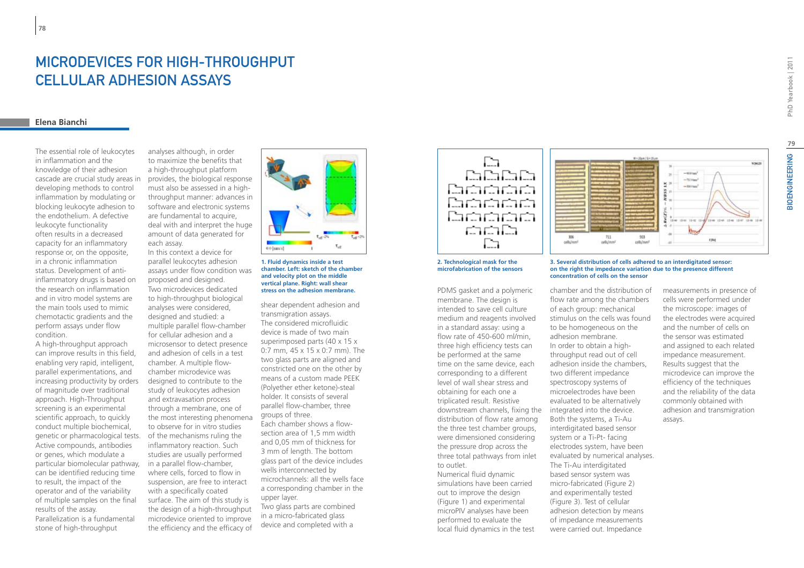# Microdevices for High-Throughput Cellular Adhesion Assays

### **Elena Bianchi**

**78**

The essential role of leukocytes in inflammation and the knowledge of their adhesion cascade are crucial study areas in developing methods to control inflammation by modulating or blocking leukocyte adhesion to the endothelium. A defective leukocyte functionality often results in a decreased capacity for an inflammatory response or, on the opposite, in a chronic inflammation status. Development of antiinflammatory drugs is based on the research on inflammation and in vitro model systems are the main tools used to mimic chemotactic gradients and the perform assays under flow condition.

A high-throughput approach can improve results in this field, enabling very rapid, intelligent, parallel experimentations, and increasing productivity by orders of magnitude over traditional approach. High-Throughput screening is an experimental scientific approach, to quickly conduct multiple biochemical, genetic or pharmacological tests. Active compounds, antibodies or genes, which modulate a particular biomolecular pathway, can be identified reducing time to result, the impact of the operator and of the variability of multiple samples on the final results of the assay. Parallelization is a fundamental stone of high-throughput

analyses although, in order to maximize the benefits that a high-throughput platform provides, the biological response must also be assessed in a highthroughput manner: advances in software and electronic systems are fundamental to acquire, deal with and interpret the huge amount of data generated for each assay.

In this context a device for parallel leukocytes adhesion assays under flow condition was proposed and designed. Two microdevices dedicated to high-throughput biological analyses were considered, designed and studied: a multiple parallel flow-chamber for cellular adhesion and a microsensor to detect presence and adhesion of cells in a test chamber. A multiple flowchamber microdevice was designed to contribute to the study of leukocytes adhesion and extravasation process through a membrane, one of the most interesting phenomena to observe for in vitro studies of the mechanisms ruling the inflammatory reaction. Such studies are usually performed in a parallel flow-chamber, where cells, forced to flow in suspension, are free to interact with a specifically coated surface. The aim of this study is the design of a high-throughput microdevice oriented to improve the efficiency and the efficacy of



#### **1. Fluid dynamics inside a test chamber. Left: sketch of the chamber and velocity plot on the middle vertical plane. Right: wall shear stress on the adhesion membrane.**

shear dependent adhesion and transmigration assays. The considered microfluidic device is made of two main superimposed parts (40 x 15 x 0:7 mm, 45 x 15 x 0:7 mm). The two glass parts are aligned and constricted one on the other by means of a custom made PEEK (Polyether ether ketone)-steal holder. It consists of several parallel flow-chamber, three groups of three. Each chamber shows a flow-

section area of 1,5 mm width and 0,05 mm of thickness for 3 mm of length. The bottom glass part of the device includes wells interconnected by microchannels: all the wells face a corresponding chamber in the upper layer.

Two glass parts are combined in a micro-fabricated glass device and completed with a





### **2. Technological mask for the microfabrication of the sensors**

PDMS gasket and a polymeric membrane. The design is intended to save cell culture medium and reagents involved in a standard assay: using a flow rate of 450-600 ml/min, three high efficiency tests can be performed at the same time on the same device, each corresponding to a different level of wall shear stress and obtaining for each one a triplicated result. Resistive downstream channels, fixing the distribution of flow rate among the three test chamber groups, were dimensioned considering the pressure drop across the three total pathways from inlet to outlet.

Numerical fluid dynamic simulations have been carried out to improve the design (Figure 1) and experimental microPIV analyses have been performed to evaluate the local fluid dynamics in the test

#### **3. Several distribution of cells adhered to an interdigitated sensor: on the right the impedance variation due to the presence different concentration of cells on the sensor**

chamber and the distribution of flow rate among the chambers of each group: mechanical stimulus on the cells was found to be homogeneous on the adhesion membrane. In order to obtain a highthroughput read out of cell adhesion inside the chambers, two different impedance spectroscopy systems of microelectrodes have been evaluated to be alternatively integrated into the device. Both the systems, a Ti-Au interdigitated based sensor system or a Ti-Pt- facing electrodes system, have been evaluated by numerical analyses. The Ti-Au interdigitated based sensor system was micro-fabricated (Figure 2) and experimentally tested (Figure 3). Test of cellular adhesion detection by means of impedance measurements were carried out. Impedance

measurements in presence of cells were performed under the microscope: images of the electrodes were acquired and the number of cells on the sensor was estimated and assigned to each related impedance measurement. Results suggest that the microdevice can improve the efficiency of the techniques and the reliability of the data commonly obtained with adhesion and transmigration assays.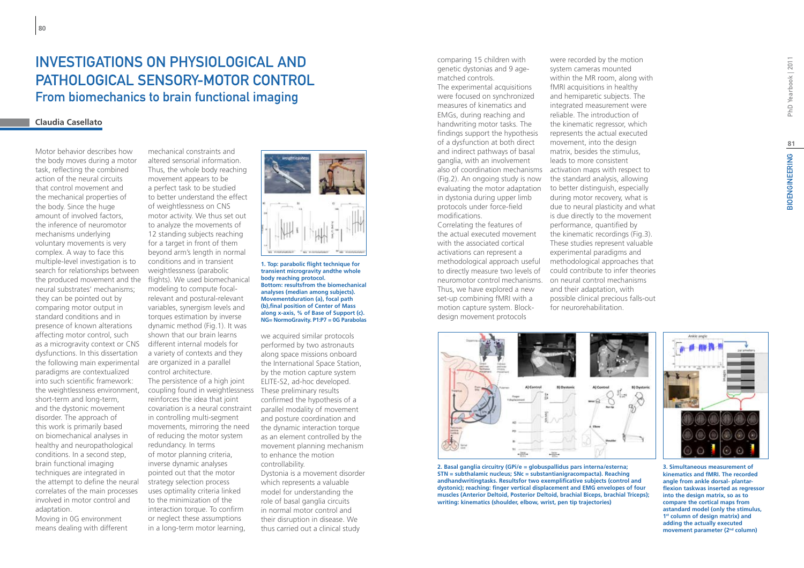# INVESTIGATIONS ON PHYSIOI OGICAL AND pathological sensory-motor control From biomechanics to brain functional imaging

# **Claudia Casellato**

Motor behavior describes how the body moves during a motor task, reflecting the combined action of the neural circuits that control movement and the mechanical properties of the body. Since the huge amount of involved factors, the inference of neuromotor mechanisms underlying voluntary movements is very complex. A way to face this multiple-level investigation is to search for relationships between the produced movement and the neural substrates' mechanisms; they can be pointed out by comparing motor output in standard conditions and in presence of known alterations affecting motor control, such as a microgravity context or CNS dysfunctions. In this dissertation the following main experimental paradigms are contextualized into such scientific framework: the weightlessness environment, short-term and long-term, and the dystonic movement disorder. The approach of this work is primarily based on biomechanical analyses in healthy and neuropathological conditions. In a second step, brain functional imaging techniques are integrated in the attempt to define the neural correlates of the main processes involved in motor control and adaptation.

Moving in 0G environment means dealing with different

mechanical constraints and altered sensorial information. Thus, the whole body reaching movement appears to be a perfect task to be studied to better understand the effect of weightlessness on CNS motor activity. We thus set out to analyze the movements of 12 standing subjects reaching for a target in front of them beyond arm's length in normal conditions and in transient weightlessness (parabolic flights). We used biomechanical modeling to compute focalrelevant and postural-relevant variables, synergism levels and torques estimation by inverse dynamic method (Fig.1). It was shown that our brain learns different internal models for a variety of contexts and they are organized in a parallel control architecture. The persistence of a high joint coupling found in weightlessness These preliminary results reinforces the idea that joint covariation is a neural constraint in controlling multi-segment movements, mirroring the need of reducing the motor system redundancy. In terms of motor planning criteria, inverse dynamic analyses pointed out that the motor strategy selection process uses optimality criteria linked to the minimization of the interaction torque. To confirm or neglect these assumptions in a long-term motor learning,



**1. Top: parabolic flight technique for transient microgravity andthe whole body reaching protocol. Bottom: resultsfrom the biomechanical analyses (median among subjects). Movementduration (a), focal path (b),final position of Center of Mass along x-axis, % of Base of Support (c). NG= NormoGravity. P1:P7 = 0G Parabolas**

we acquired similar protocols performed by two astronauts along space missions onboard the International Space Station, by the motion capture system ELITE-S2, ad-hoc developed. confirmed the hypothesis of a parallel modality of movement and posture coordination and the dynamic interaction torque as an element controlled by the movement planning mechanism to enhance the motion controllability. Dystonia is a movement disorder

which represents a valuable model for understanding the role of basal ganglia circuits in normal motor control and their disruption in disease. We thus carried out a clinical study comparing 15 children with genetic dystonias and 9 agematched controls.

The experimental acquisitions were focused on synchronized measures of kinematics and EMGs, during reaching and handwriting motor tasks. The findings support the hypothesis of a dysfunction at both direct and indirect pathways of basal ganglia, with an involvement (Fig.2). An ongoing study is now evaluating the motor adaptation in dystonia during upper limb protocols under force-field modifications.

Correlating the features of the actual executed movement with the associated cortical activations can represent a methodological approach useful to directly measure two levels of neuromotor control mechanisms. Thus, we have explored a new set-up combining fMRI with a motion capture system. Blockdesign movement protocols

also of coordination mechanisms activation maps with respect to were recorded by the motion system cameras mounted within the MR room, along with fMRI acquisitions in healthy and hemiparetic subjects. The integrated measurement were reliable. The introduction of the kinematic regressor, which represents the actual executed movement, into the design matrix, besides the stimulus, leads to more consistent the standard analysis, allowing to better distinguish, especially during motor recovery, what is due to neural plasticity and what is due directly to the movement performance, quantified by the kinematic recordings (Fig.3). These studies represent valuable experimental paradigms and methodological approaches that could contribute to infer theories on neural control mechanisms and their adaptation, with possible clinical precious falls-out for neurorehabilitation.



**2. Basal ganglia circuitry (GPi/e = globuspallidus pars interna/esterna; STN = subthalamic nucleus; SNc = substantianigracompacta). Reaching andhandwritingtasks. Resultsfor two exemplificative subjects (control and dystonic); reaching: finger vertical displacement and EMG envelopes of four muscles (Anterior Deltoid, Posterior Deltoid, brachial Biceps, brachial Triceps); writing: kinematics (shoulder, elbow, wrist, pen tip trajectories)**



**3. Simultaneous measurement of kinematics and fMRI. The recorded angle from ankle dorsal- plantarflexion taskwas inserted as regressor into the design matrix, so as to compare the cortical maps from astandard model (only the stimulus, 1st column of design matrix) and adding the actually executed movement parameter (2nd column)**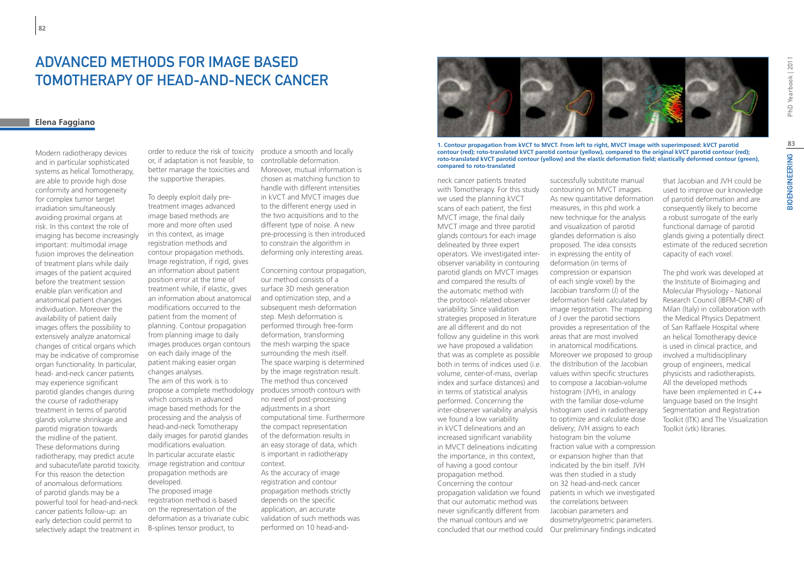# Tomotherapy of Head-and-Neck Cancer

# **Elena Faggiano**

**82**

Modern radiotherapy devices and in particular sophisticated systems as helical Tomotherapy, are able to provide high dose conformity and homogeneity for complex tumor target irradiation simultaneously avoiding proximal organs at risk. In this context the role of imaging has become increasingly important: multimodal image fusion improves the delineation of treatment plans while daily images of the patient acquired before the treatment session enable plan verification and anatomical patient changes individuation. Moreover the availability of patient daily images offers the possibility to extensively analyze anatomical changes of critical organs which may be indicative of compromise organ functionality. In particular, head- and-neck cancer patients may experience significant parotid glandes changes during the course of radiotherapy treatment in terms of parotid glands volume shrinkage and parotid migration towards the midline of the patient. These deformations during radiotherapy, may predict acute and subacute/late parotid toxicity. For this reason the detection of anomalous deformations of parotid glands may be a powerful tool for head-and-neck cancer patients follow-up: an early detection could permit to selectively adapt the treatment in

or, if adaptation is not feasible, to better manage the toxicities and the supportive therapies.

To deeply exploit daily pretreatment images advanced image based methods are more and more often used in this context, as image registration methods and contour propagation methods. Image registration, if rigid, gives an information about patient position error at the time of treatment while, if elastic, gives an information about anatomical modifications occurred to the patient from the moment of planning. Contour propagation from planning image to daily images produces organ contours on each daily image of the patient making easier organ changes analyses. The aim of this work is to propose a complete methodology which consists in advanced image based methods for the processing and the analysis of head-and-neck Tomotherapy daily images for parotid glandes modifications evaluation. In particular accurate elastic image registration and contour propagation methods are developed. The proposed image registration method is based on the representation of the

deformation as a trivariate cubic B-splines tensor product, to

order to reduce the risk of toxicity produce a smooth and locally controllable deformation. Moreover, mutual information is chosen as matching function to handle with different intensities in kVCT and MVCT images due to the different energy used in the two acquisitions and to the different type of noise. A new pre-processing is then introduced to constrain the algorithm in deforming only interesting areas.

> Concerning contour propagation, our method consists of a surface 3D mesh generation and optimization step, and a subsequent mesh deformation step. Mesh deformation is performed through free-form deformation, transforming the mesh warping the space surrounding the mesh itself. The space warping is determined by the image registration result. The method thus conceived produces smooth contours with no need of post-processing adjustments in a short computational time. Furthermore the compact representation of the deformation results in an easy storage of data, which is important in radiotherapy context. As the accuracy of image registration and contour propagation methods strictly

depends on the specific application, an accurate validation of such methods was performed on 10 head-and-



**1. Contour propagation from kVCT to MVCT. From left to right, MVCT image with superimposed: kVCT parotid contour (red); roto-translated kVCT parotid contour (yellow), compared to the original kVCT parotid contour (red); roto-translated kVCT parotid contour (yellow) and the elastic deformation field; elastically deformed contour (green), compared to roto-translated** 

neck cancer patients treated with Tomotherapy. For this study we used the planning kVCT scans of each patient, the first MVCT image, the final daily MVCT image and three parotid glands contours for each image delineated by three expert operators. We investigated interobserver variability in contouring parotid glands on MVCT images and compared the results of the automatic method with the protocol- related observer variability. Since validation strategies proposed in literature are all different and do not follow any guideline in this work we have proposed a validation that was as complete as possible both in terms of indices used (i.e. volume, center-of-mass, overlap index and surface distances) and in terms of statistical analysis performed. Concerning the inter-observer variability analysis we found a low variability in kVCT delineations and an increased significant variability in MVCT delineations indicating the importance, in this context, of having a good contour propagation method. Concerning the contour propagation validation we found that our automatic method was never significantly different from the manual contours and we concluded that our method could

successfully substitute manual contouring on MVCT images. As new quantitative deformation measures, in this phd work a new technique for the analysis and visualization of parotid glandes deformation is also proposed. The idea consists in expressing the entity of deformation (in terms of compression or expansion of each single voxel) by the Jacobian transform (J) of the deformation field calculated by image registration. The mapping of J over the parotid sections provides a representation of the areas that are most involved in anatomical modifications. Moreover we proposed to group the distribution of the Jacobian values within specific structures to compose a Jacobian-volume histogram (JVH), in analogy with the familiar dose-volume histogram used in radiotherapy to optimize and calculate dose delivery; JVH assigns to each histogram bin the volume fraction value with a compression or expansion higher than that indicated by the bin itself. JVH was then studied in a study on 32 head-and-neck cancer patients in which we investigated the correlations between Jacobian parameters and dosimetry/geometric parameters. Our preliminary findings indicated

that Jacobian and JVH could be used to improve our knowledge of parotid deformation and are consequently likely to become a robust surrogate of the early functional damage of parotid glands giving a potentially direct estimate of the reduced secretion capacity of each voxel.

The phd work was developed at the Institute of Bioimaging and Molecular Physiology - National Research Council (IBFM-CNR) of Milan (Italy) in collaboration with the Medical Physics Depatment of San Raffaele Hospital where an helical Tomotherapy device is used in clinical practice, and involved a multidisciplinary group of engineers, medical physicists and radiotherapists. All the developed methods have been implemented in C++ language based on the Insight Segmentation and Registration Toolkit (ITK) and The Visualization Toolkit (vtk) libraries.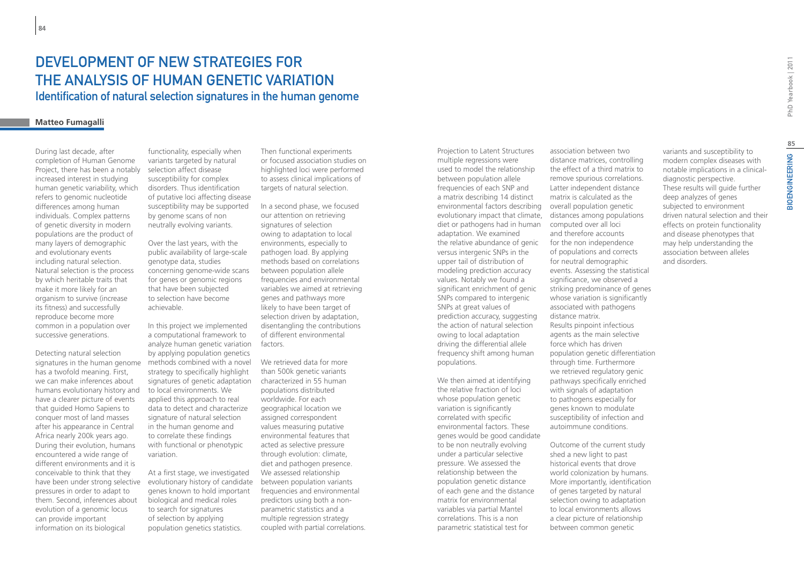# DEVELOPMENT OF NEW STRATEGIES FOR the analysis of human genetic variation Identification of natural selection signatures in the human genome

# **Matteo Fumagalli**

During last decade, after completion of Human Genome Project, there has been a notably increased interest in studying human genetic variability, which refers to genomic nucleotide differences among human individuals. Complex patterns of genetic diversity in modern populations are the product of many layers of demographic and evolutionary events including natural selection. Natural selection is the process by which heritable traits that make it more likely for an organism to survive (increase its fitness) and successfully reproduce become more common in a population over successive generations.

Detecting natural selection signatures in the human genome has a twofold meaning. First, we can make inferences about humans evolutionary history and have a clearer picture of events that guided Homo Sapiens to conquer most of land masses after his appearance in Central Africa nearly 200k years ago. During their evolution, humans encountered a wide range of different environments and it is conceivable to think that they pressures in order to adapt to them. Second, inferences about evolution of a genomic locus can provide important information on its biological

functionality, especially when variants targeted by natural selection affect disease susceptibility for complex disorders. Thus identification of putative loci affecting disease susceptibility may be supported by genome scans of non neutrally evolving variants.

Over the last years, with the public availability of large-scale genotype data, studies concerning genome-wide scans for genes or genomic regions that have been subjected to selection have become achievable.

In this project we implemented a computational framework to analyze human genetic variation by applying population genetics methods combined with a novel strategy to specifically highlight signatures of genetic adaptation to local environments. We applied this approach to real data to detect and characterize signature of natural selection in the human genome and to correlate these findings with functional or phenotypic variation.

have been under strong selective evolutionary history of candidate At a first stage, we investigated genes known to hold important biological and medical roles to search for signatures of selection by applying population genetics statistics.

Then functional experiments or focused association studies on highlighted loci were performed to assess clinical implications of targets of natural selection.

In a second phase, we focused our attention on retrieving signatures of selection owing to adaptation to local environments, especially to pathogen load. By applying methods based on correlations between population allele frequencies and environmental variables we aimed at retrieving genes and pathways more likely to have been target of selection driven by adaptation, disentangling the contributions of different environmental factors.

We retrieved data for more than 500k genetic variants characterized in 55 human populations distributed worldwide. For each geographical location we assigned correspondent values measuring putative environmental features that acted as selective pressure through evolution: climate, diet and pathogen presence. We assessed relationship between population variants frequencies and environmental predictors using both a nonparametric statistics and a multiple regression strategy coupled with partial correlations. Projection to Latent Structures multiple regressions were used to model the relationship between population allele frequencies of each SNP and a matrix describing 14 distinct environmental factors describing evolutionary impact that climate, diet or pathogens had in human computed over all loci adaptation. We examined the relative abundance of genic versus intergenic SNPs in the upper tail of distribution of modeling prediction accuracy values. Notably we found a significant enrichment of genic SNPs compared to intergenic SNPs at great values of prediction accuracy, suggesting the action of natural selection owing to local adaptation driving the differential allele frequency shift among human populations.

We then aimed at identifying the relative fraction of loci whose population genetic variation is significantly correlated with specific environmental factors. These genes would be good candidate to be non neutrally evolving under a particular selective pressure. We assessed the relationship between the population genetic distance of each gene and the distance matrix for environmental variables via partial Mantel correlations. This is a non parametric statistical test for

association between two distance matrices, controlling the effect of a third matrix to remove spurious correlations. Latter independent distance matrix is calculated as the overall population genetic distances among populations and therefore accounts for the non independence of populations and corrects for neutral demographic events. Assessing the statistical significance, we observed a striking predominance of genes whose variation is significantly associated with pathogens distance matrix. Results pinpoint infectious agents as the main selective force which has driven population genetic differentiation through time. Furthermore we retrieved regulatory genic pathways specifically enriched with signals of adaptation to pathogens especially for genes known to modulate susceptibility of infection and autoimmune conditions.

Outcome of the current study shed a new light to past historical events that drove world colonization by humans. More importantly, identification of genes targeted by natural selection owing to adaptation to local environments allows a clear picture of relationship between common genetic

variants and susceptibility to modern complex diseases with notable implications in a clinicaldiagnostic perspective. These results will guide further deep analyzes of genes subjected to environment driven natural selection and their effects on protein functionality and disease phenotypes that may help understanding the association between alleles and disorders.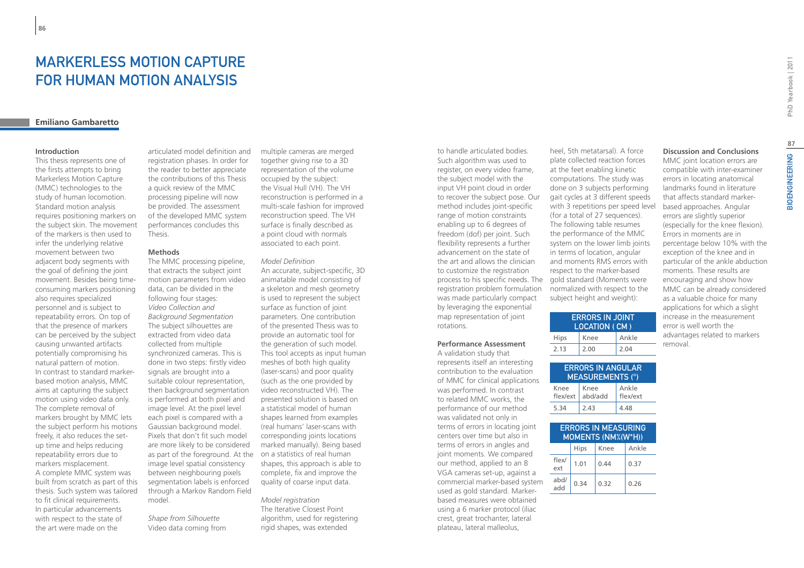# MARKERI ESS MOTION CAPTURE for Human Motion Analysis

# **Emiliano Gambaretto**

### **Introduction**

This thesis represents one of the firsts attempts to bring Markerless Motion Capture (MMC) technologies to the study of human locomotion. Standard motion analysis requires positioning markers on the subject skin. The movement of the markers is then used to infer the underlying relative movement between two adjacent body segments with the goal of defining the joint movement. Besides being timeconsuming markers positioning also requires specialized personnel and is subject to repeatability errors. On top of that the presence of markers can be perceived by the subject causing unwanted artifacts potentially compromising his natural pattern of motion. In contrast to standard markerbased motion analysis, MMC aims at capturing the subject motion using video data only. The complete removal of markers brought by MMC lets the subject perform his motions freely, it also reduces the setup time and helps reducing repeatability errors due to markers misplacement. A complete MMC system was built from scratch as part of this thesis. Such system was tailored to fit clinical requirements. In particular advancements with respect to the state of the art were made on the

articulated model definition and registration phases. In order for the reader to better appreciate the contributions of this Thesis a quick review of the MMC processing pipeline will now be provided. The assessment of the developed MMC system performances concludes this Thesis.

# **Methods**

The MMC processing pipeline, that extracts the subject joint motion parameters from video data, can be divided in the following four stages: *Video Collection and Background Segmentation* The subject silhouettes are extracted from video data collected from multiple synchronized cameras. This is done in two steps: firstly video signals are brought into a suitable colour representation, then background segmentation is performed at both pixel and image level. At the pixel level each pixel is compared with a Gaussian background model. Pixels that don't fit such model are more likely to be considered as part of the foreground. At the image level spatial consistency between neighbouring pixels segmentation labels is enforced through a Markov Random Field model.

*Shape from Silhouette* Video data coming from multiple cameras are merged together giving rise to a 3D representation of the volume occupied by the subject: the Visual Hull (VH). The VH reconstruction is performed in a multi-scale fashion for improved reconstruction speed. The VH surface is finally described as a point cloud with normals associated to each point.

#### *Model Definition*

An accurate, subject-specific, 3D animatable model consisting of a skeleton and mesh geometry is used to represent the subject surface as function of joint parameters. One contribution of the presented Thesis was to provide an automatic tool for the generation of such model. This tool accepts as input human meshes of both high quality (laser-scans) and poor quality (such as the one provided by video reconstructed VH). The presented solution is based on a statistical model of human shapes learned from examples (real humans' laser-scans with corresponding joints locations marked manually). Being based on a statistics of real human shapes, this approach is able to complete, fix and improve the quality of coarse input data.

### *Model registration*

The Iterative Closest Point algorithm, used for registering rigid shapes, was extended

to handle articulated bodies. Such algorithm was used to register, on every video frame, the subject model with the input VH point cloud in order to recover the subject pose. Our method includes joint-specific range of motion constraints enabling up to 6 degrees of freedom (dof) per joint. Such flexibility represents a further advancement on the state of the art and allows the clinician to customize the registration registration problem formulation was made particularly compact by leveraging the exponential map representation of joint rotations.

# **Performance Assessment**

A validation study that represents itself an interesting contribution to the evaluation of MMC for clinical applications was performed. In contrast to related MMC works, the performance of our method was validated not only in terms of errors in locating joint centers over time but also in terms of errors in angles and joint moments. We compared our method, applied to an 8 VGA cameras set-up, against a commercial marker-based system used as gold standard. Markerbased measures were obtained using a 6 marker protocol (iliac crest, great trochanter, lateral plateau, lateral malleolus,

process to his specific needs. The gold standard (Moments were heel, 5th metatarsal). A force plate collected reaction forces at the feet enabling kinetic computations. The study was done on 3 subjects performing gait cycles at 3 different speeds with 3 repetitions per speed level (for a total of 27 sequences). The following table resumes the performance of the MMC system on the lower limb joints in terms of location, angular and moments RMS errors with respect to the marker-based normalized with respect to the subject height and weight):

| <b>ERRORS IN JOINT</b><br>LOCATION (CM) |      |       |  |  |
|-----------------------------------------|------|-------|--|--|
| Hips                                    | Knee | Ankle |  |  |
| 2.13                                    | 2.00 | 2.04  |  |  |

| <b>ERRORS IN ANGULAR</b><br><b>MEASUREMENTS (°)</b> |                 |                   |  |  |
|-----------------------------------------------------|-----------------|-------------------|--|--|
| Knee<br>flex/ext                                    | Knee<br>abd/add | Ankle<br>flex/ext |  |  |
| 5.34                                                | 2.43            | 4.48              |  |  |
|                                                     |                 |                   |  |  |

| <b>ERRORS IN MEASURING</b><br><b>MOMENTS (NM%(W*H))</b> |      |      |       |  |
|---------------------------------------------------------|------|------|-------|--|
|                                                         | Hips | Knee | Ankle |  |
| flex/<br>ext                                            | 1.01 | 0.44 | 0.37  |  |
| abd/<br>add                                             | 0.34 | 0.32 | 0.26  |  |

**Discussion and Conclusions** MMC joint location errors are

compatible with inter-examiner errors in locating anatomical landmarks found in literature that affects standard markerbased approaches. Angular errors are slightly superior (especially for the knee flexion). Errors in moments are in percentage below 10% with the exception of the knee and in particular of the ankle abduction moments. These results are encouraging and show how MMC can be already considered as a valuable choice for many applications for which a slight increase in the measurement error is well worth the advantages related to markers - removal.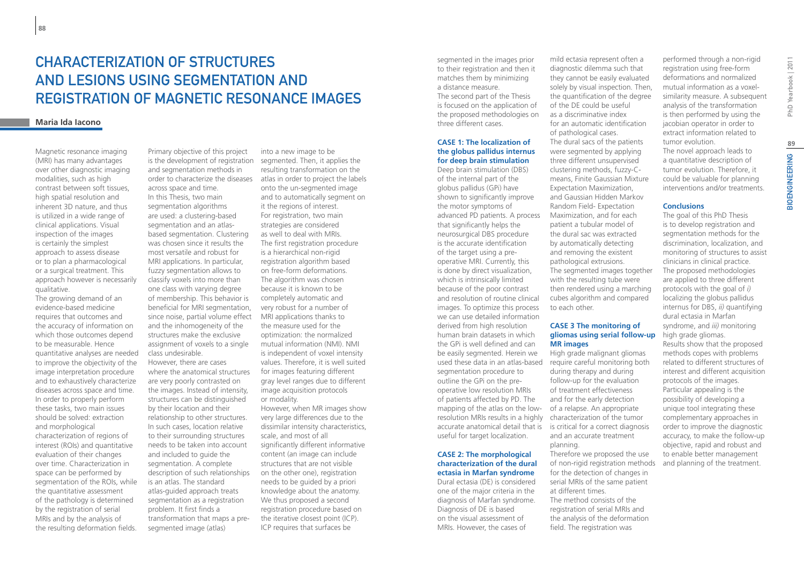# Characterization of Structures and Lesions using Segmentation and Registration of Magnetic Resonance Images

### **Maria Ida Iacono**

Magnetic resonance imaging (MRI) has many advantages over other diagnostic imaging modalities, such as high contrast between soft tissues, high spatial resolution and inherent 3D nature, and thus is utilized in a wide range of clinical applications. Visual inspection of the images is certainly the simplest approach to assess disease or to plan a pharmacological or a surgical treatment. This approach however is necessarily qualitative.

The growing demand of an evidence-based medicine requires that outcomes and the accuracy of information on which those outcomes depend to be measurable. Hence quantitative analyses are needed to improve the objectivity of the image interpretation procedure and to exhaustively characterize diseases across space and time. In order to properly perform these tasks, two main issues should be solved: extraction and morphological characterization of regions of interest (ROIs) and quantitative evaluation of their changes over time. Characterization in space can be performed by segmentation of the ROIs, while the quantitative assessment of the pathology is determined by the registration of serial MRIs and by the analysis of the resulting deformation fields.

Primary objective of this project is the development of registration and segmentation methods in across space and time. In this Thesis, two main segmentation algorithms are used: a clustering-based segmentation and an atlasbased segmentation. Clustering was chosen since it results the most versatile and robust for MRI applications. In particular, fuzzy segmentation allows to classify voxels into more than one class with varying degree of membership. This behavior is beneficial for MRI segmentation, since noise, partial volume effect and the inhomogeneity of the structures make the exclusive assignment of voxels to a single class undesirable. However, there are cases where the anatomical structures are very poorly contrasted on the images. Instead of intensity, structures can be distinguished by their location and their relationship to other structures. In such cases, location relative to their surrounding structures needs to be taken into account and included to guide the segmentation. A complete description of such relationships is an atlas. The standard atlas-guided approach treats segmentation as a registration problem. It first finds a transformation that maps a presegmented image (atlas)

order to characterize the diseases atlas in order to project the labels into a new image to be segmented. Then, it applies the resulting transformation on the onto the un-segmented image and to automatically segment on it the regions of interest. For registration, two main strategies are considered as well to deal with MRIs. The first registration procedure is a hierarchical non-rigid registration algorithm based on free-form deformations. The algorithm was chosen because it is known to be completely automatic and very robust for a number of MRI applications thanks to the measure used for the optimization: the normalized mutual information (NMI). NMI is independent of voxel intensity values. Therefore, it is well suited for images featuring different gray level ranges due to different image acquisition protocols or modality. However, when MR images show

very large differences due to the dissimilar intensity characteristics, scale, and most of all significantly different informative content (an image can include structures that are not visible on the other one), registration needs to be guided by a priori knowledge about the anatomy. We thus proposed a second registration procedure based on the iterative closest point (ICP). ICP requires that surfaces be

segmented in the images prior to their registration and then it matches them by minimizing a distance measure. The second part of the Thesis is focused on the application of the proposed methodologies on three different cases.

### **CASE 1: The localization of the globus pallidus internus for deep brain stimulation**

Deep brain stimulation (DBS) of the internal part of the globus pallidus (GPi) have shown to significantly improve the motor symptoms of advanced PD patients. A process that significantly helps the neurosurgical DBS procedure is the accurate identification of the target using a preoperative MRI. Currently, this is done by direct visualization, which is intrinsically limited because of the poor contrast and resolution of routine clinical images. To optimize this process we can use detailed information derived from high resolution human brain datasets in which the GPi is well defined and can be easily segmented. Herein we segmentation procedure to outline the GPi on the preoperative low resolution MRIs of patients affected by PD. The mapping of the atlas on the lowresolution MRIs results in a highly useful for target localization.

### **CASE 2: The morphological characterization of the dural ectasia in Marfan syndrome**

Dural ectasia (DE) is considered one of the major criteria in the diagnosis of Marfan syndrome. Diagnosis of DE is based on the visual assessment of MRIs. However, the cases of

mild ectasia represent often a diagnostic dilemma such that they cannot be easily evaluated solely by visual inspection. Then, the quantification of the degree of the DE could be useful as a discriminative index for an automatic identification of pathological cases. The dural sacs of the patients were segmented by applying three different unsupervised clustering methods, fuzzy-Cmeans, Finite Gaussian Mixture Expectation Maximization, and Gaussian Hidden Markov Random Field- Expectation Maximization, and for each patient a tubular model of the dural sac was extracted by automatically detecting and removing the existent pathological extrusions. The segmented images together with the resulting tube were then rendered using a marching cubes algorithm and compared to each other.

### **CASE 3 The monitoring of gliomas using serial follow-up MR images**

used these data in an atlas-based require careful monitoring both accurate anatomical detail that is is critical for a correct diagnosis High grade malignant gliomas during therapy and during follow-up for the evaluation of treatment effectiveness and for the early detection of a relapse. An appropriate characterization of the tumor and an accurate treatment planning.

Therefore we proposed the use of non-rigid registration methods for the detection of changes in serial MRIs of the same patient at different times. The method consists of the registration of serial MRIs and the analysis of the deformation field. The registration was

performed through a non-rigid registration using free-form deformations and normalized mutual information as a voxelsimilarity measure. A subsequent analysis of the transformation is then performed by using the jacobian operator in order to extract information related to tumor evolution.

The novel approach leads to a quantitative description of tumor evolution. Therefore, it could be valuable for planning interventions and/or treatments.

### **Conclusions**

The goal of this PhD Thesis is to develop registration and segmentation methods for the discrimination, localization, and monitoring of structures to assist clinicians in clinical practice. The proposed methodologies are applied to three different protocols with the goal of *i)*  localizing the globus pallidus internus for DBS, *ii)* quantifying dural ectasia in Marfan syndrome, and *iii)* monitoring high grade gliomas. Results show that the proposed methods copes with problems related to different structures of interest and different acquisition protocols of the images. Particular appealing is the possibility of developing a unique tool integrating these complementary approaches in order to improve the diagnostic accuracy, to make the follow-up objective, rapid and robust and to enable better management and planning of the treatment.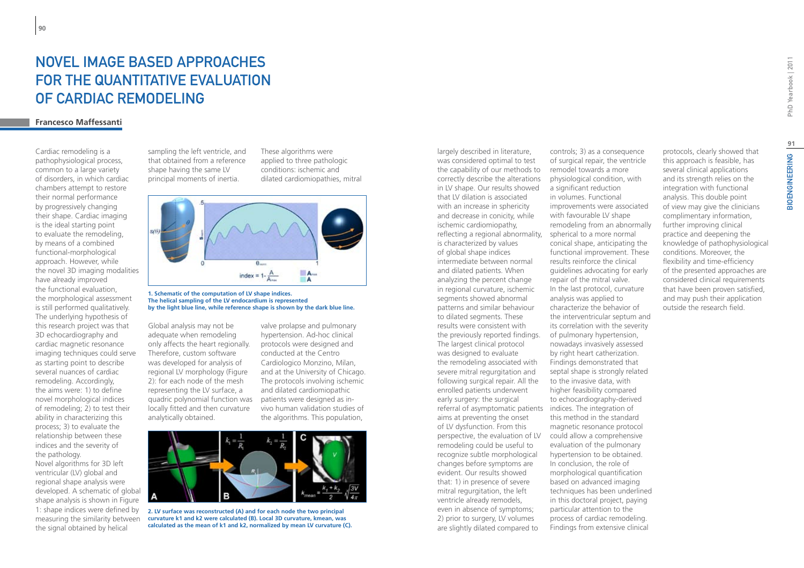# Novel Image Based Approaches FOR THE QUANTITATIVE EVALUATION of Cardiac Remodeling

# **Francesco Maffessanti**

Cardiac remodeling is a pathophysiological process, common to a large variety of disorders, in which cardiac chambers attempt to restore their normal performance by progressively changing their shape. Cardiac imaging is the ideal starting point to evaluate the remodeling, by means of a combined functional-morphological approach. However, while the novel 3D imaging modalities have already improved the functional evaluation, the morphological assessment is still performed qualitatively. The underlying hypothesis of this research project was that 3D echocardiography and cardiac magnetic resonance imaging techniques could serve as starting point to describe several nuances of cardiac remodeling. Accordingly, the aims were: 1) to define novel morphological indices of remodeling; 2) to test their ability in characterizing this process; 3) to evaluate the relationship between these indices and the severity of the pathology.

Novel algorithms for 3D left ventricular (LV) global and regional shape analysis were developed. A schematic of global shape analysis is shown in Figure 1: shape indices were defined by measuring the similarity between the signal obtained by helical

sampling the left ventricle, and that obtained from a reference shape having the same LV principal moments of inertia.

These algorithms were applied to three pathologic conditions: ischemic and dilated cardiomiopathies, mitral



#### **1. Schematic of the computation of LV shape indices. The helical sampling of the LV endocardium is represented by the light blue line, while reference shape is shown by the dark blue line.**

Global analysis may not be adequate when remodeling only affects the heart regionally. Therefore, custom software was developed for analysis of regional LV morphology (Figure 2): for each node of the mesh representing the LV surface, a quadric polynomial function was locally fitted and then curvature analytically obtained.

valve prolapse and pulmonary hypertension. Ad-hoc clinical protocols were designed and conducted at the Centro Cardiologico Monzino, Milan, and at the University of Chicago. The protocols involving ischemic and dilated cardiomiopathic patients were designed as invivo human validation studies of the algorithms. This population,



**2. LV surface was reconstructed (A) and for each node the two principal curvature k1 and k2 were calculated (B). Local 3D curvature, kmean, was calculated as the mean of k1 and k2, normalized by mean LV curvature (C).**

largely described in literature, was considered optimal to test the capability of our methods to correctly describe the alterations in LV shape. Our results showed that LV dilation is associated with an increase in sphericity and decrease in conicity, while ischemic cardiomiopathy, reflecting a regional abnormality, is characterized by values of global shape indices intermediate between normal and dilated patients. When analyzing the percent change in regional curvature, ischemic segments showed abnormal patterns and similar behaviour to dilated segments. These results were consistent with the previously reported findings. The largest clinical protocol was designed to evaluate the remodeling associated with severe mitral regurgitation and following surgical repair. All the enrolled patients underwent early surgery: the surgical referral of asymptomatic patients indices. The integration of aims at preventing the onset of LV dysfunction. From this perspective, the evaluation of LV remodeling could be useful to recognize subtle morphological changes before symptoms are evident. Our results showed that: 1) in presence of severe mitral regurgitation, the left ventricle already remodels, even in absence of symptoms; 2) prior to surgery, LV volumes are slightly dilated compared to

controls; 3) as a consequence of surgical repair, the ventricle remodel towards a more physiological condition, with a significant reduction in volumes. Functional improvements were associated with favourable LV shape remodeling from an abnormally spherical to a more normal conical shape, anticipating the functional improvement. These results reinforce the clinical guidelines advocating for early repair of the mitral valve. In the last protocol, curvature analysis was applied to characterize the behavior of the interventricular septum and its correlation with the severity of pulmonary hypertension, nowadays invasively assessed by right heart catherization. Findings demonstrated that septal shape is strongly related to the invasive data, with higher feasibility compared to echocardiography-derived this method in the standard magnetic resonance protocol could allow a comprehensive evaluation of the pulmonary hypertension to be obtained. In conclusion, the role of morphological quantification based on advanced imaging techniques has been underlined in this doctoral project, paying particular attention to the process of cardiac remodeling. Findings from extensive clinical

and its strength relies on the integration with functional analysis. This double point of view may give the clinicians complimentary information, further improving clinical practice and deepening the knowledge of pathophysiological conditions. Moreover, the flexibility and time-efficiency of the presented approaches are considered clinical requirements that have been proven satisfied, and may push their application outside the research field.

protocols, clearly showed that this approach is feasible, has several clinical applications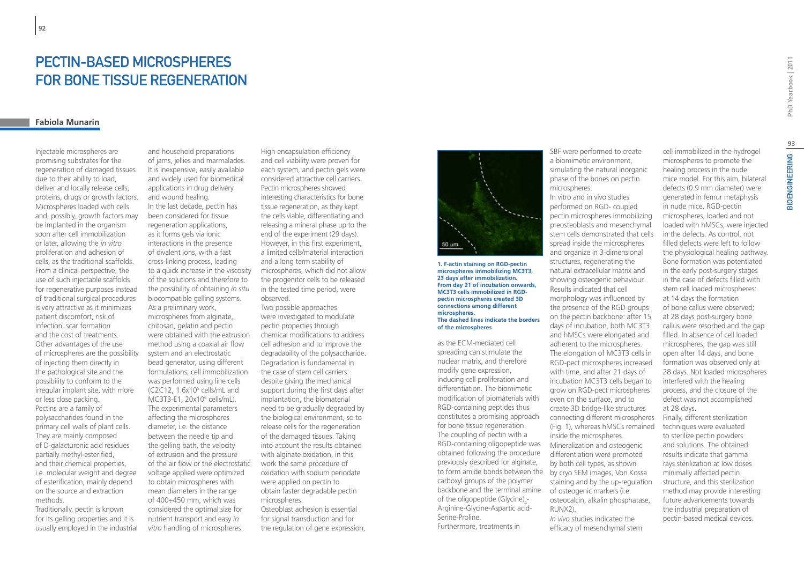# PECTIN-BASED MICROSPHERES FOR BONE TISSUE REGENERATION

# **Fabiola Munarin**

**92**

Injectable microspheres are promising substrates for the regeneration of damaged tissues due to their ability to load, deliver and locally release cells, proteins, drugs or growth factors. Microspheres loaded with cells and, possibly, growth factors may be implanted in the organism soon after cell immobilization or later, allowing the *in vitro*  proliferation and adhesion of cells, as the traditional scaffolds. From a clinical perspective, the use of such injectable scaffolds for regenerative purposes instead of traditional surgical procedures is very attractive as it minimizes patient discomfort, risk of infection, scar formation and the cost of treatments. Other advantages of the use of microspheres are the possibility of injecting them directly in the pathological site and the possibility to conform to the irregular implant site, with more or less close packing. Pectins are a family of polysaccharides found in the primary cell walls of plant cells. They are mainly composed of D-galacturonic acid residues partially methyl-esterified, and their chemical properties, i.e. molecular weight and degree of esterification, mainly depend on the source and extraction methods.

Traditionally, pectin is known for its gelling properties and it is usually employed in the industrial

and household preparations of jams, jellies and marmalades. It is inexpensive, easily available and widely used for biomedical applications in drug delivery and wound healing*.* In the last decade, pectin has been considered for tissue regeneration applications, as it forms gels via ionic interactions in the presence of divalent ions, with a fast cross-linking process, leading to a quick increase in the viscosity of the solutions and therefore to the possibility of obtaining *in situ*  biocompatible gelling systems. As a preliminary work, microspheres from alginate, chitosan, gelatin and pectin were obtained with the extrusion method using a coaxial air flow system and an electrostatic bead generator, using different formulations; cell immobilization was performed using line cells (C2C12, 1.6x105 cells/mL and MC3T3-E1, 20x10<sup>6</sup> cells/mL). The experimental parameters affecting the microspheres diameter, i.e. the distance between the needle tip and the gelling bath, the velocity of extrusion and the pressure of the air flow or the electrostatic voltage applied were optimized to obtain microspheres with mean diameters in the range of 400÷450 mm, which was considered the optimal size for nutrient transport and easy *in vitro* handling of microspheres.

High encapsulation efficiency and cell viability were proven for each system, and pectin gels were considered attractive cell carriers. Pectin microspheres showed interesting characteristics for bone tissue regeneration, as they kept the cells viable, differentiating and releasing a mineral phase up to the end of the experiment (29 days). However, in this first experiment, a limited cells/material interaction and a long term stability of microspheres, which did not allow the progenitor cells to be released in the tested time period, were observed.

Two possible approaches were investigated to modulate pectin properties through chemical modifications to address cell adhesion and to improve the degradability of the polysaccharide. Degradation is fundamental in the case of stem cell carriers: despite giving the mechanical support during the first days after implantation, the biomaterial need to be gradually degraded by the biological environment, so to release cells for the regeneration of the damaged tissues. Taking into account the results obtained with alginate oxidation, in this work the same procedure of oxidation with sodium periodate were applied on pectin to obtain faster degradable pectin microspheres. Osteoblast adhesion is essential for signal transduction and for the regulation of gene expression,



**1. F-actin staining on RGD-pectin microspheres immobilizing MC3T3, 23 days after immobilization. From day 21 of incubation onwards, MC3T3 cells immobilized in RGDpectin microspheres created 3D connections among different microspheres. The dashed lines indicate the borders of the microspheres**

as the ECM-mediated cell spreading can stimulate the nuclear matrix, and therefore modify gene expression, inducing cell proliferation and differentiation. The biomimetic modification of biomaterials with RGD-containing peptides thus constitutes a promising approach for bone tissue regeneration. The coupling of pectin with a RGD-containing oligopeptide was obtained following the procedure previously described for alginate, to form amide bonds between the carboxyl groups of the polymer backbone and the terminal amine of the oligopeptide (Glycine) $_4$ -Arginine-Glycine-Aspartic acid-Serine-Proline. Furthermore, treatments in

SBF were performed to create a biomimetic environment, simulating the natural inorganic phase of the bones on pectin microspheres. In vitro and in vivo studies performed on RGD- coupled pectin microspheres immobilizing preosteoblasts and mesenchymal stem cells demonstrated that cells spread inside the microspheres and organize in 3-dimensional structures, regenerating the natural extracellular matrix and showing osteogenic behaviour. Results indicated that cell morphology was influenced by the presence of the RGD groups on the pectin backbone: after 15 days of incubation, both MC3T3 and hMSCs were elongated and adherent to the microspheres. The elongation of MC3T3 cells in RGD-pect microspheres increased with time, and after 21 days of incubation MC3T3 cells began to grow on RGD-pect microspheres even on the surface, and to create 3D bridge-like structures connecting different microspheres (Fig. 1), whereas hMSCs remained inside the microspheres. Mineralization and osteogenic differentiation were promoted by both cell types, as shown by cryo SEM images, Von Kossa

staining and by the up-regulation of osteogenic markers (i.e. osteocalcin, alkalin phosphatase, RUNX2). *In vivo* studies indicated the

efficacy of mesenchymal stem

cell immobilized in the hydrogel microspheres to promote the healing process in the nude mice model. For this aim, bilateral defects (0.9 mm diameter) were generated in femur metaphysis in nude mice. RGD-pectin microspheres, loaded and not loaded with hMSCs, were injected in the defects. As control, not filled defects were left to follow the physiological healing pathway. Bone formation was potentiated in the early post-surgery stages in the case of defects filled with stem cell loaded microspheres: at 14 days the formation of bone callus were observed; at 28 days post-surgery bone callus were resorbed and the gap filled. In absence of cell loaded microspheres, the gap was still open after 14 days, and bone formation was observed only at 28 days. Not loaded microspheres interfered with the healing process, and the closure of the defect was not accomplished at 28 days.

Finally, different sterilization techniques were evaluated to sterilize pectin powders and solutions. The obtained results indicate that gamma rays sterilization at low doses minimally affected pectin structure, and this sterilization method may provide interesting future advancements towards the industrial preparation of pectin-based medical devices.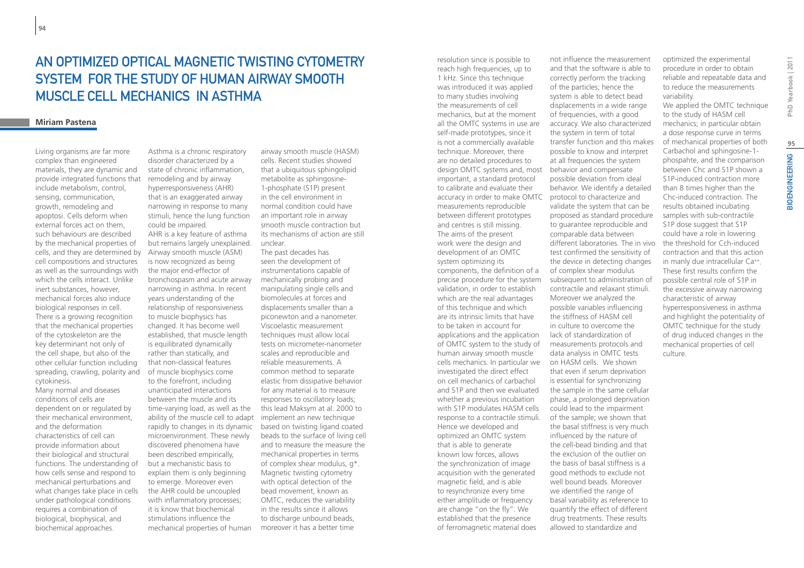# An optimized Optical Magnetic Twisting Cytometry system for the study of Human Airway Smooth MUSCLE CELL MECHANICS IN ASTHMA

### **Miriam Pastena**

Living organisms are far more complex than engineered materials, they are dynamic and provide integrated functions that include metabolism, control, sensing, communication, growth, remodeling and apoptosi. Cells deform when external forces act on them, such behaviours are described by the mechanical properties of cells, and they are determined by cell compositions and structures as well as the surroundings with which the cells interact. Unlike inert substances, however, mechanical forces also induce biological responses in cell. There is a growing recognition that the mechanical properties of the cytoskeleton are the key determinant not only of the cell shape, but also of the other cellular function including spreading, crawling, polarity and cytokinesis. Many normal and diseases

conditions of cells are dependent on or regulated by their mechanical environment, and the deformation characteristics of cell can provide information about their biological and structural functions. The understanding of how cells sense and respond to mechanical perturbations and what changes take place in cells under pathological conditions requires a combination of biological, biophysical, and biochemical approaches.

Asthma is a chronic respiratory disorder characterized by a state of chronic inflammation, remodeling and by airway hyperresponsiveness (AHR) that is an exaggerated airway narrowing in response to many stimuli, hence the lung function could be impaired. AHR is a key feature of asthma but remains largely unexplained. Airway smooth muscle (ASM) is now recognized as being the major end-effector of bronchospasm and acute airway narrowing in asthma. In recent years understanding of the relationship of responsiveness to muscle biophysics has changed. It has become well established, that muscle length is equilibrated dynamically rather than statically, and that non-classical features of muscle biophysics come to the forefront, including unanticipated interactions between the muscle and its time-varying load, as well as the ability of the muscle cell to adapt rapidly to changes in its dynamic microenvironment. These newly discovered phenomena have been described empirically, but a mechanistic basis to explain them is only beginning to emerge. Moreover even the AHR could be uncoupled with inflammatory processes; it is know that biochemical stimulations influence the mechanical properties of human

airway smooth muscle (HASM) cells. Recent studies showed that a ubiquitous sphingolipid metabolite as sphingosine-1-phosphate (S1P) present in the cell environment in normal condition could have an important role in airway smooth muscle contraction but its mechanisms of action are still unclear.

The past decades has seen the development of instrumentations capable of mechanically probing and manipulating single cells and biomolecules at forces and displacements smaller than a piconewton and a nanometer. Viscoelastic measurement techniques must allow local tests on micrometer-nanometer scales and reproducible and reliable measurements. A common method to separate elastic from dissipative behavior for any material is to measure responses to oscillatory loads; this lead Maksym at al. 2000 to implement an new technique based on twisting ligand coated beads to the surface of living cell and to measure the measure the mechanical properties in terms of complex shear modulus, g\*. Magnetic twisting cytometry with optical detection of the bead movement, known as OMTC, reduces the variability in the results since it allows to discharge unbound beads. moreover it has a better time

resolution since is possible to reach high frequencies, up to 1 kHz. Since this technique was introduced it was applied to many studies involving the measurements of cell mechanics, but at the moment all the OMTC systems in use are self-made prototypes, since it is not a commercially available technique. Moreover, there are no detailed procedures to design OMTC systems and, most important, a standard protocol to calibrate and evaluate their accuracy in order to make OMTC measurements reproducible between different prototypes and centres is still missing. The aims of the present work were the design and development of an OMTC system optimizing its components, the definition of a precise procedure for the system validation, in order to establish which are the real advantages of this technique and which are its intrinsic limits that have to be taken in account for applications and the application of OMTC system to the study of human airway smooth muscle cells mechanics. In particular we investigated the direct effect on cell mechanics of carbachol and S1P and then we evaluated whether a previous incubation with S1P modulates HASM cells response to a contractile stimuli. Hence we developed and optimized an OMTC system that is able to generate known low forces, allows the synchronization of image acquisition with the generated magnetic field, and is able to resynchronize every time either amplitude or frequency are change "on the fly". We established that the presence of ferromagnetic material does

not influence the measurement and that the software is able to correctly perform the tracking of the particles; hence the system is able to detect bead displacements in a wide range of frequencies, with a good accuracy. We also characterized the system in term of total transfer function and this makes possible to know and interpret at all frequencies the system behavior and compensate possible deviation from ideal behavior. We identify a detailed protocol to characterize and validate the system that can be proposed as standard procedure to guarantee reproducible and comparable data between different laboratories. The in vivo test confirmed the sensitivity of the device in detecting changes of complex shear modulus subsequent to administration of contractile and relaxant stimuli. Moreover we analyzed the possible variables influencing the stiffness of HASM cell in culture to overcome the lack of standardization of measurements protocols and data analysis in OMTC tests on HASM cells. We shown that even if serum deprivation is essential for synchronizing the sample in the same cellular phase, a prolonged deprivation could lead to the impairment of the sample; we shown that the basal stiffness is very much influenced by the nature of the cell-bead binding and that the exclusion of the outlier on the basis of basal stiffness is a good methods to exclude not well bound beads. Moreover we identified the range of basal variability as reference to quantify the effect of different drug treatments. These results allowed to standardize and

optimized the experimental procedure in order to obtain reliable and repeatable data and to reduce the measurements variability.

We applied the OMTC technique to the study of HASM cell mechanics; in particular obtain a dose response curve in terms of mechanical properties of both Carbachol and sphingosine-1 phospahte, and the comparison between Chc and S1P shown a S1P-induced contraction more than 8 times higher than the Chc-induced contraction. The results obtained incubating samples with sub-contractile S1P dose suggest that S1P could have a role in lowering the threshold for Cch-induced contraction and that this action in manly due intracellular Ca++. These first results confirm the possible central role of S1P in the excessive airway narrowing characteristic of airway hyperresponsiveness in asthma and highlight the potentiality of OMTC technique for the study of drug induced changes in the mechanical properties of cell culture.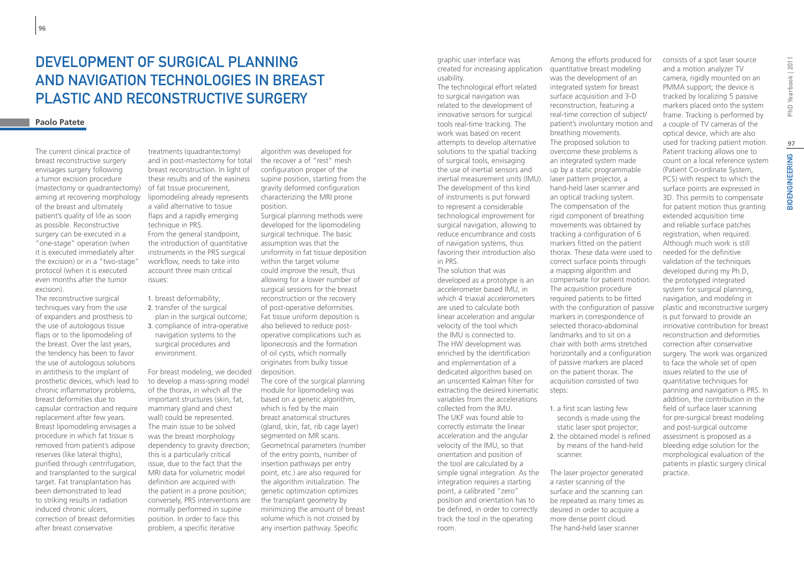# DEVELOPMENT OF SURGICAL PLANNING and navigation technologies in breast plastic and reconstructive surgery

### **Paolo Patete**

The current clinical practice of breast reconstructive surgery envisages surgery following a tumor excision procedure (mastectomy or quadrantectomy) aiming at recovering morphology of the breast and ultimately patient's quality of life as soon as possible. Reconstructive surgery can be executed in a "one-stage" operation (when it is executed immediately after the excision) or in a "two-stage" protocol (when it is executed even months after the tumor excision).

The reconstructive surgical techniques vary from the use of expanders and prosthesis to the use of autologous tissue flaps or to the lipomodeling of the breast. Over the last years, the tendency has been to favor the use of autologous solutions in antithesis to the implant of prosthetic devices, which lead to chronic inflammatory problems, breast deformities due to capsular contraction and require replacement after few years. Breast lipomodeling envisages a procedure in which fat tissue is removed from patient's adipose reserves (like lateral thighs), purified through centrifugation, and transplanted to the surgical target. Fat transplantation has been demonstrated to lead to striking results in radiation induced chronic ulcers, correction of breast deformities after breast conservative

treatments (quadrantectomy) and in post-mastectomy for total breast reconstruction. In light of these results and of the easiness of fat tissue procurement, lipomodeling already represents a valid alternative to tissue flaps and a rapidly emerging technique in PRS. From the general standpoint, the introduction of quantitative instruments in the PRS surgical workflow, needs to take into account three main critical issues:

- 1. breast deformability; 2. transfer of the surgical
- plan in the surgical outcome; 3. compliance of intra-operative navigation systems to the surgical procedures and environment.

For breast modeling, we decided to develop a mass-spring model of the thorax, in which all the important structures (skin, fat, mammary gland and chest wall) could be represented. The main issue to be solved was the breast morphology dependency to gravity direction; this is a particularly critical issue, due to the fact that the MRI data for volumetric model definition are acquired with the patient in a prone position; conversely, PRS interventions are normally performed in supine position. In order to face this problem, a specific iterative

algorithm was developed for the recover a of "rest" mesh configuration proper of the supine position, starting from the gravity deformed configuration characterizing the MRI prone position.

Surgical planning methods were developed for the lipomodeling surgical technique. The basic assumption was that the uniformity in fat tissue deposition within the target volume could improve the result, thus allowing for a lower number of surgical sessions for the breast reconstruction or the recovery of post-operative deformities. Fat tissue uniform deposition is also believed to reduce postoperative complications such as liponecrosis and the formation of oil cysts, which normally originates from bulky tissue deposition. The core of the surgical planning module for lipomodeling was based on a genetic algorithm, which is fed by the main breast anatomical structures (gland, skin, fat, rib cage layer) segmented on MR scans. Geometrical parameters (number of the entry points, number of insertion pathways per entry point, etc.) are also required for the algorithm initialization. The genetic optimization optimizes the transplant geometry by minimizing the amount of breast volume which is not crossed by any insertion pathway. Specific

graphic user interface was created for increasing application usability.

The technological effort related to surgical navigation was related to the development of innovative sensors for surgical tools real-time tracking. The work was based on recent attempts to develop alternative solutions to the spatial tracking of surgical tools, envisaging the use of inertial sensors and inertial measurement units (IMU). laser pattern projector, a The development of this kind of instruments is put forward to represent a considerable technological improvement for surgical navigation, allowing to reduce encumbrance and costs of navigation systems, thus favoring their introduction also in PRS.

The solution that was developed as a prototype is an accelerometer based IMU, in which 4 triaxial accelerometers are used to calculate both linear acceleration and angular velocity of the tool which the IMU is connected to. The HW development was enriched by the identification and implementation of a dedicated algorithm based on an unscented Kalman filter for extracting the desired kinematic variables from the accelerations collected from the IMU. The UKF was found able to correctly estimate the linear acceleration and the angular velocity of the IMU, so that orientation and position of the tool are calculated by a simple signal integration. As the integration requires a starting point, a calibrated "zero" position and orientation has to be defined, in order to correctly track the tool in the operating room.

Among the efforts produced for quantitative breast modeling was the development of an integrated system for breast surface acquisition and 3-D reconstruction, featuring a real-time correction of subject/ patient's involuntary motion and breathing movements. The proposed solution to overcome these problems is an integrated system made up by a static programmable hand-held laser scanner and an optical tracking system. The compensation of the rigid component of breathing movements was obtained by tracking a configuration of 6 markers fitted on the patient thorax. These data were used to correct surface points through a mapping algorithm and compensate for patient motion. The acquisition procedure required patients to be fitted with the configuration of passive markers in correspondence of selected thoraco-abdominal landmarks and to sit on a chair with both arms stretched horizontally and a configuration of passive markers are placed on the patient thorax. The acquisition consisted of two steps:

- 1. a first scan lasting few seconds is made using the static laser spot projector;
- 2. the obtained model is refined by means of the hand-held scanner.

practice.

The laser projector generated a raster scanning of the surface and the scanning can be repeated as many times as desired in order to acquire a more dense point cloud. The hand-held laser scanner

consists of a spot laser source and a motion analyzer TV camera, rigidly mounted on an PMMA support; the device is tracked by localizing 5 passive markers placed onto the system frame. Tracking is performed by a couple of TV cameras of the optical device, which are also used for tracking patient motion. Patient tracking allows one to count on a local reference system (Patient Co-ordinate System, PCS) with respect to which the surface points are expressed in 3D. This permits to compensate for patient motion thus granting extended acquisition time and reliable surface patches registration, when required. Although much work is still needed for the definitive validation of the techniques developed during my Ph.D, the prototyped integrated system for surgical planning. navigation, and modeling in plastic and reconstructive surgery is put forward to provide an innovative contribution for breast reconstruction and deformities correction after conservative surgery. The work was organized to face the whole set of open issues related to the use of quantitative techniques for panning and navigation is PRS. In addition, the contribution in the field of surface laser scanning for pre-surgical breast modeling and post-surgical outcome assessment is proposed as a bleeding edge solution for the morphological evaluation of the patients in plastic surgery clinical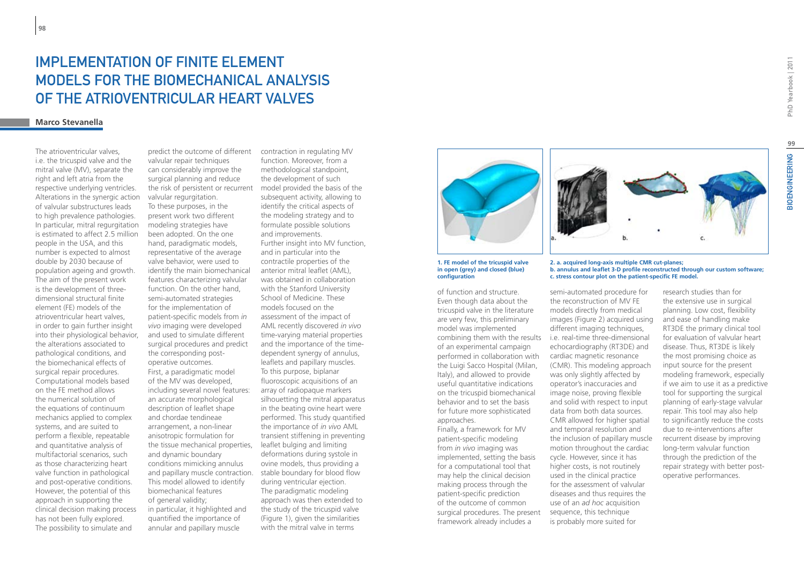# IMPI FMENTATION OF FINITE FI FMENT models for the biomechanical analysis of the atrioventricular heart valves

# **Marco Stevanella**

The atrioventricular valves, i.e. the tricuspid valve and the mitral valve (MV), separate the right and left atria from the respective underlying ventricles. Alterations in the synergic action of valvular substructures leads to high prevalence pathologies. In particular, mitral regurgitation is estimated to affect 2.5 million people in the USA, and this number is expected to almost double by 2030 because of population ageing and growth. The aim of the present work is the development of threedimensional structural finite element (FE) models of the atrioventricular heart valves, in order to gain further insight into their physiological behavior, the alterations associated to pathological conditions, and the biomechanical effects of surgical repair procedures. Computational models based on the FE method allows the numerical solution of the equations of continuum mechanics applied to complex systems, and are suited to perform a flexible, repeatable and quantitative analysis of multifactorial scenarios, such as those characterizing heart valve function in pathological and post-operative conditions. However, the potential of this approach in supporting the clinical decision making process has not been fully explored. The possibility to simulate and

predict the outcome of different contraction in regulating MV valvular repair techniques can considerably improve the surgical planning and reduce the risk of persistent or recurrent valvular regurgitation. To these purposes, in the present work two different modeling strategies have been adopted. On the one hand, paradigmatic models, representative of the average valve behavior, were used to identify the main biomechanical features characterizing valvular function. On the other hand, semi-automated strategies for the implementation of patient-specific models from *in vivo* imaging were developed and used to simulate different surgical procedures and predict the corresponding postoperative outcomes. First, a paradigmatic model of the MV was developed, including several novel features: an accurate morphological description of leaflet shape and chordae tendineae arrangement, a non-linear anisotropic formulation for the tissue mechanical properties, and dynamic boundary conditions mimicking annulus and papillary muscle contraction. This model allowed to identify biomechanical features of general validity; in particular, it highlighted and quantified the importance of annular and papillary muscle

function. Moreover, from a methodological standpoint, the development of such model provided the basis of the subsequent activity, allowing to identify the critical aspects of the modeling strategy and to formulate possible solutions and improvements. Further insight into MV function, and in particular into the contractile properties of the anterior mitral leaflet (AML), was obtained in collaboration with the Stanford University School of Medicine. These models focused on the assessment of the impact of AML recently discovered *in vivo* time-varying material properties and the importance of the timedependent synergy of annulus, leaflets and papillary muscles. To this purpose, biplanar fluoroscopic acquisitions of an array of radiopaque markers silhouetting the mitral apparatus in the beating ovine heart were performed. This study quantified the importance of *in vivo* AML transient stiffening in preventing leaflet bulging and limiting deformations during systole in ovine models, thus providing a stable boundary for blood flow during ventricular ejection. The paradigmatic modeling approach was then extended to the study of the tricuspid valve (Figure 1), given the similarities with the mitral valve in terms



**1. FE model of the tricuspid valve in open (grey) and closed (blue) configuration**

of function and structure. Even though data about the tricuspid valve in the literature are very few, this preliminary model was implemented combining them with the results i.e. real-time three-dimensional of an experimental campaign performed in collaboration with the Luigi Sacco Hospital (Milan, Italy), and allowed to provide useful quantitative indications on the tricuspid biomechanical behavior and to set the basis for future more sophisticated approaches.

Finally, a framework for MV patient-specific modeling from *in vivo* imaging was implemented, setting the basis for a computational tool that may help the clinical decision making process through the patient-specific prediction of the outcome of common surgical procedures. The present framework already includes a



**2. a. acquired long-axis multiple CMR cut-planes; b. annulus and leaflet 3-D profile reconstructed through our custom software; c. stress contour plot on the patient-specific FE model.**

the reconstruction of MV FE models directly from medical

different imaging techniques,

cardiac magnetic resonance

was only slightly affected by operator's inaccuracies and image noise, proving flexible

data from both data sources.

and temporal resolution and

cycle. However, since it has higher costs, is not routinely used in the clinical practice

diseases and thus requires the use of an *ad hoc* acquisition sequence, this technique is probably more suited for

semi-automated procedure for images (Figure 2) acquired using echocardiography (RT3DE) and (CMR). This modeling approach and solid with respect to input CMR allowed for higher spatial the inclusion of papillary muscle motion throughout the cardiac for the assessment of valvular research studies than for the extensive use in surgical planning. Low cost, flexibility and ease of handling make RT3DE the primary clinical tool for evaluation of valvular heart disease. Thus, RT3DE is likely the most promising choice as input source for the present modeling framework, especially if we aim to use it as a predictive tool for supporting the surgical planning of early-stage valvular repair. This tool may also help to significantly reduce the costs due to re-interventions after recurrent disease by improving long-term valvular function through the prediction of the repair strategy with better postoperative performances.

**BIOENGINEERING**